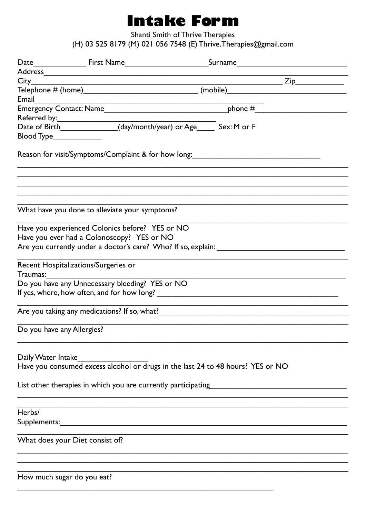## **Intake Form**

Shanti Smith of Thrive Therapies

(H) 03 525 8179 (M) 021 056 7548 (E) Thrive. Therapies@gmail.com

| Blood Type_____________    |                                                                                 |  |  |
|----------------------------|---------------------------------------------------------------------------------|--|--|
|                            | Reason for visit/Symptoms/Complaint & for how long:                             |  |  |
|                            |                                                                                 |  |  |
|                            | What have you done to alleviate your symptoms?                                  |  |  |
|                            | Have you experienced Colonics before? YES or NO                                 |  |  |
|                            | Have you ever had a Colonoscopy? YES or NO                                      |  |  |
|                            |                                                                                 |  |  |
|                            | Recent Hospitalizations/Surgeries or                                            |  |  |
| Traumas:                   |                                                                                 |  |  |
|                            | Do you have any Unnecessary bleeding? YES or NO                                 |  |  |
|                            |                                                                                 |  |  |
|                            | Are you taking any medications? If so, what?                                    |  |  |
|                            | Do you have any Allergies?                                                      |  |  |
| Daily Water Intake         |                                                                                 |  |  |
|                            | Have you consumed excess alcohol or drugs in the last 24 to 48 hours? YES or NO |  |  |
|                            |                                                                                 |  |  |
|                            | List other therapies in which you are currently participating                   |  |  |
| Herbs/                     |                                                                                 |  |  |
|                            |                                                                                 |  |  |
|                            |                                                                                 |  |  |
|                            | What does your Diet consist of?                                                 |  |  |
|                            |                                                                                 |  |  |
| How much sugar do you eat? |                                                                                 |  |  |
|                            |                                                                                 |  |  |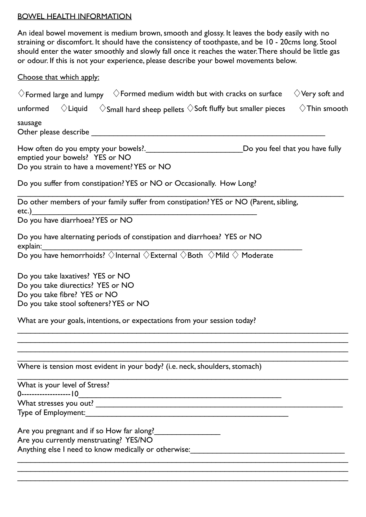## BOWEL HEALTH INFORMATION

An ideal bowel movement is medium brown, smooth and glossy. It leaves the body easily with no straining or discomfort. It should have the consistency of toothpaste, and be 10 - 20cms long. Stool should enter the water smoothly and slowly fall once it reaches the water. There should be little gas or odour. If this is not your experience, please describe your bowel movements below.

Choose that which apply:

| $\Diamond$ Very soft and<br>$\Diamond$ Formed medium width but with cracks on surface<br>$\Diamond$ Formed large and lumpy                                                                                                                   |
|----------------------------------------------------------------------------------------------------------------------------------------------------------------------------------------------------------------------------------------------|
| $\Diamond$ Liquid<br>$\Diamond$ Small hard sheep pellets $\Diamond$ Soft fluffy but smaller pieces<br>$\Diamond$ Thin smooth<br>unformed                                                                                                     |
| sausage                                                                                                                                                                                                                                      |
| Do you feel that you have fully<br>emptied your bowels? YES or NO<br>Do you strain to have a movement? YES or NO                                                                                                                             |
| Do you suffer from constipation? YES or NO or Occasionally. How Long?                                                                                                                                                                        |
| Do other members of your family suffer from constipation? YES or NO (Parent, sibling,<br>$etc.$ )                                                                                                                                            |
| Do you have diarrhoea? YES or NO                                                                                                                                                                                                             |
| Do you have alternating periods of constipation and diarrhoea? YES or NO<br>explain:                                                                                                                                                         |
| $\overline{\text{Cylain}}$ $\overline{\text{Cylain}}$ $\overline{\text{Cylain}}$ $\overline{\text{Cylan}}$ $\overline{\text{Cylan}}$ $\overline{\text{Cylan}}$ $\overline{\text{Cylan}}$ $\overline{\text{Cylan}}$ $\overline{\text{Cylan}}$ |
| Do you take laxatives? YES or NO<br>Do you take diurectics? YES or NO<br>Do you take fibre? YES or NO<br>Do you take stool softeners? YES or NO<br>What are your goals, intentions, or expectations from your session today?                 |
|                                                                                                                                                                                                                                              |
| Where is tension most evident in your body? (i.e. neck, shoulders, stomach)                                                                                                                                                                  |
| What is your level of Stress?                                                                                                                                                                                                                |
| 0--------------------   0                                                                                                                                                                                                                    |
|                                                                                                                                                                                                                                              |
| Are you currently menstruating? YES/NO<br>Anything else I need to know medically or otherwise:<br>Anything else I need to know medically or otherwise:                                                                                       |
|                                                                                                                                                                                                                                              |